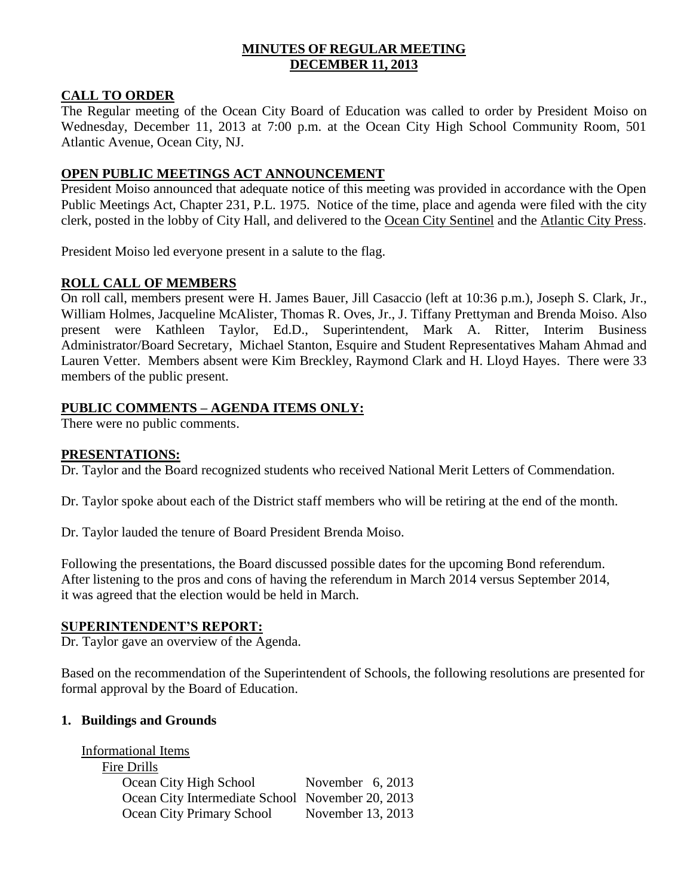### **MINUTES OF REGULAR MEETING DECEMBER 11, 2013**

### **CALL TO ORDER**

The Regular meeting of the Ocean City Board of Education was called to order by President Moiso on Wednesday, December 11, 2013 at 7:00 p.m. at the Ocean City High School Community Room, 501 Atlantic Avenue, Ocean City, NJ.

### **OPEN PUBLIC MEETINGS ACT ANNOUNCEMENT**

President Moiso announced that adequate notice of this meeting was provided in accordance with the Open Public Meetings Act, Chapter 231, P.L. 1975. Notice of the time, place and agenda were filed with the city clerk, posted in the lobby of City Hall, and delivered to the Ocean City Sentinel and the Atlantic City Press.

President Moiso led everyone present in a salute to the flag.

### **ROLL CALL OF MEMBERS**

On roll call, members present were H. James Bauer, Jill Casaccio (left at 10:36 p.m.), Joseph S. Clark, Jr., William Holmes, Jacqueline McAlister, Thomas R. Oves, Jr., J. Tiffany Prettyman and Brenda Moiso. Also present were Kathleen Taylor, Ed.D., Superintendent, Mark A. Ritter, Interim Business Administrator/Board Secretary, Michael Stanton, Esquire and Student Representatives Maham Ahmad and Lauren Vetter. Members absent were Kim Breckley, Raymond Clark and H. Lloyd Hayes. There were 33 members of the public present.

# **PUBLIC COMMENTS – AGENDA ITEMS ONLY:**

There were no public comments.

#### **PRESENTATIONS:**

Dr. Taylor and the Board recognized students who received National Merit Letters of Commendation.

Dr. Taylor spoke about each of the District staff members who will be retiring at the end of the month.

Dr. Taylor lauded the tenure of Board President Brenda Moiso.

Following the presentations, the Board discussed possible dates for the upcoming Bond referendum. After listening to the pros and cons of having the referendum in March 2014 versus September 2014, it was agreed that the election would be held in March.

#### **SUPERINTENDENT'S REPORT:**

Dr. Taylor gave an overview of the Agenda.

Based on the recommendation of the Superintendent of Schools, the following resolutions are presented for formal approval by the Board of Education.

#### **1. Buildings and Grounds**

Informational Items Fire Drills Ocean City High School November 6, 2013 Ocean City Intermediate School November 20, 2013 Ocean City Primary School November 13, 2013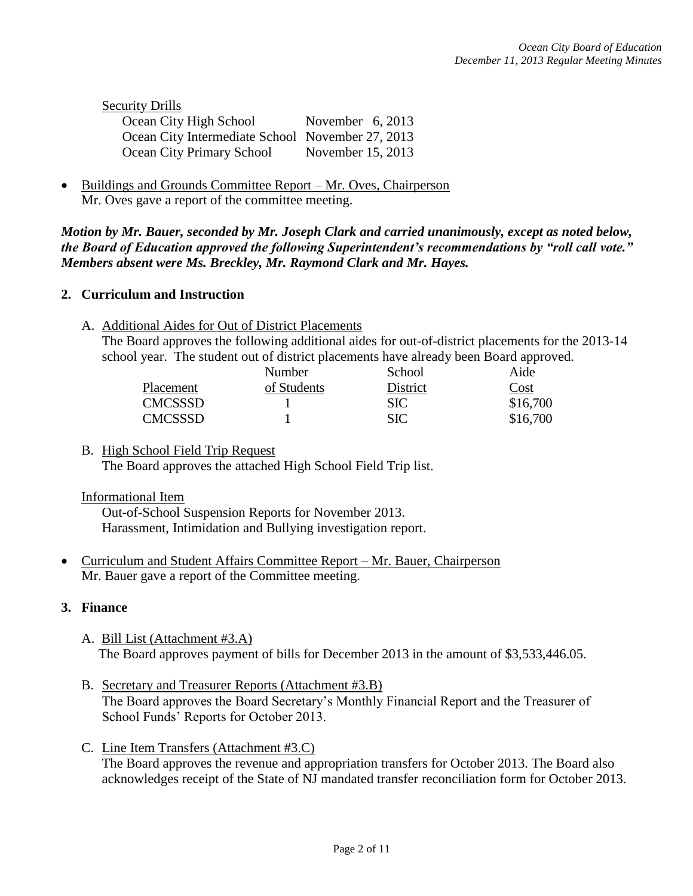| <b>Security Drills</b>                           |                    |
|--------------------------------------------------|--------------------|
| Ocean City High School                           | November $6, 2013$ |
| Ocean City Intermediate School November 27, 2013 |                    |
| Ocean City Primary School                        | November 15, 2013  |

 Buildings and Grounds Committee Report – Mr. Oves, Chairperson Mr. Oves gave a report of the committee meeting.

*Motion by Mr. Bauer, seconded by Mr. Joseph Clark and carried unanimously, except as noted below, the Board of Education approved the following Superintendent's recommendations by "roll call vote." Members absent were Ms. Breckley, Mr. Raymond Clark and Mr. Hayes.*

### **2. Curriculum and Instruction**

A. Additional Aides for Out of District Placements

The Board approves the following additional aides for out-of-district placements for the 2013-14 school year. The student out of district placements have already been Board approved.

|                | Number      | School     | Aide     |
|----------------|-------------|------------|----------|
| Placement      | of Students | District   | Cost     |
| <b>CMCSSSD</b> |             | <b>SIC</b> | \$16,700 |
| <b>CMCSSSD</b> |             | <b>SIC</b> | \$16,700 |

B. High School Field Trip Request The Board approves the attached High School Field Trip list.

# Informational Item

Out-of-School Suspension Reports for November 2013. Harassment, Intimidation and Bullying investigation report.

 Curriculum and Student Affairs Committee Report – Mr. Bauer, Chairperson Mr. Bauer gave a report of the Committee meeting.

# **3. Finance**

- A. Bill List (Attachment #3.A) The Board approves payment of bills for December 2013 in the amount of \$3,533,446.05.
- B. Secretary and Treasurer Reports (Attachment #3.B) The Board approves the Board Secretary's Monthly Financial Report and the Treasurer of School Funds' Reports for October 2013.
- C. Line Item Transfers (Attachment #3.C) The Board approves the revenue and appropriation transfers for October 2013. The Board also acknowledges receipt of the State of NJ mandated transfer reconciliation form for October 2013.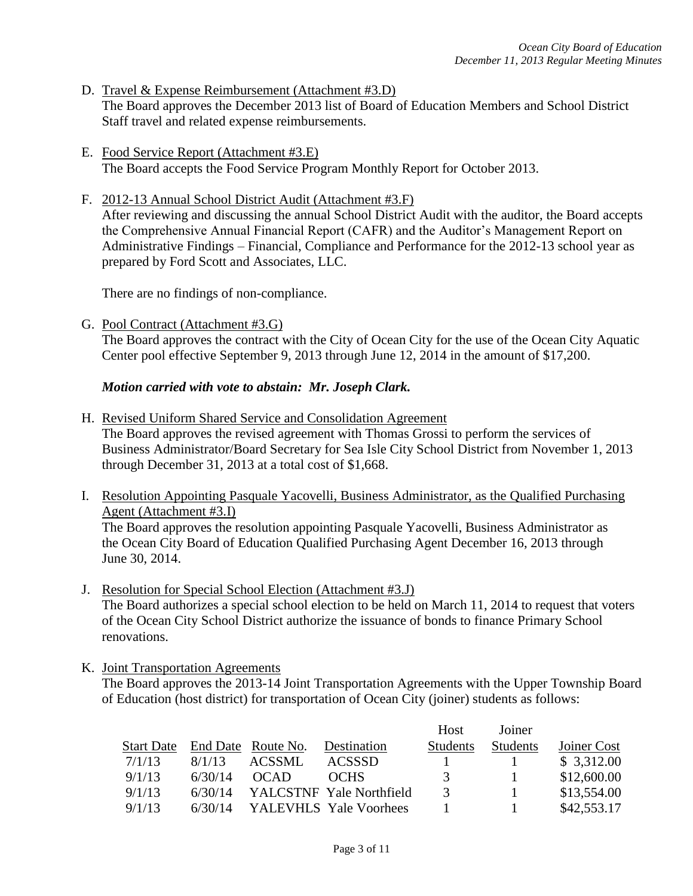- D. Travel & Expense Reimbursement (Attachment #3.D) The Board approves the December 2013 list of Board of Education Members and School District Staff travel and related expense reimbursements.
- E. Food Service Report (Attachment #3.E) The Board accepts the Food Service Program Monthly Report for October 2013.
- F. 2012-13 Annual School District Audit (Attachment #3.F)

After reviewing and discussing the annual School District Audit with the auditor, the Board accepts the Comprehensive Annual Financial Report (CAFR) and the Auditor's Management Report on Administrative Findings – Financial, Compliance and Performance for the 2012-13 school year as prepared by Ford Scott and Associates, LLC.

There are no findings of non-compliance.

G. Pool Contract (Attachment #3.G)

The Board approves the contract with the City of Ocean City for the use of the Ocean City Aquatic Center pool effective September 9, 2013 through June 12, 2014 in the amount of \$17,200.

*Motion carried with vote to abstain: Mr. Joseph Clark.*

H. Revised Uniform Shared Service and Consolidation Agreement

The Board approves the revised agreement with Thomas Grossi to perform the services of Business Administrator/Board Secretary for Sea Isle City School District from November 1, 2013 through December 31, 2013 at a total cost of \$1,668.

I. Resolution Appointing Pasquale Yacovelli, Business Administrator, as the Qualified Purchasing Agent (Attachment #3.I)

The Board approves the resolution appointing Pasquale Yacovelli, Business Administrator as the Ocean City Board of Education Qualified Purchasing Agent December 16, 2013 through June 30, 2014.

J. Resolution for Special School Election (Attachment #3.J)

The Board authorizes a special school election to be held on March 11, 2014 to request that voters of the Ocean City School District authorize the issuance of bonds to finance Primary School renovations.

K. Joint Transportation Agreements

The Board approves the 2013-14 Joint Transportation Agreements with the Upper Township Board of Education (host district) for transportation of Ocean City (joiner) students as follows:

|                   |         |                    |                          | Host          | Joiner   |             |
|-------------------|---------|--------------------|--------------------------|---------------|----------|-------------|
| <b>Start Date</b> |         | End Date Route No. | Destination              | Students      | Students | Joiner Cost |
| 7/1/13            | 8/1/13  | ACSSML             | <b>ACSSSD</b>            |               |          | \$3,312.00  |
| 9/1/13            | 6/30/14 | <b>OCAD</b>        | <b>OCHS</b>              | 3             |          | \$12,600.00 |
| 9/1/13            | 6/30/14 |                    | YALCSTNF Yale Northfield | $\mathcal{R}$ |          | \$13,554.00 |
| 9/1/13            | 6/30/14 |                    | YALEVHLS Yale Voorhees   |               |          | \$42,553.17 |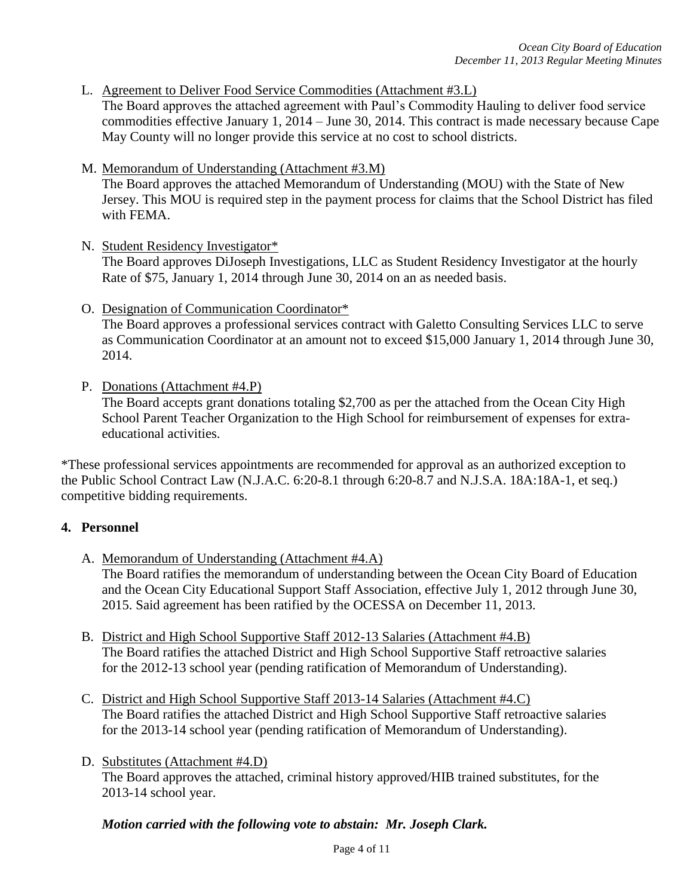L. Agreement to Deliver Food Service Commodities (Attachment #3.L)

The Board approves the attached agreement with Paul's Commodity Hauling to deliver food service commodities effective January 1, 2014 – June 30, 2014. This contract is made necessary because Cape May County will no longer provide this service at no cost to school districts.

M. Memorandum of Understanding (Attachment #3.M)

The Board approves the attached Memorandum of Understanding (MOU) with the State of New Jersey. This MOU is required step in the payment process for claims that the School District has filed with FEMA.

N. Student Residency Investigator\*

The Board approves DiJoseph Investigations, LLC as Student Residency Investigator at the hourly Rate of \$75, January 1, 2014 through June 30, 2014 on an as needed basis.

- O. Designation of Communication Coordinator\* The Board approves a professional services contract with Galetto Consulting Services LLC to serve as Communication Coordinator at an amount not to exceed \$15,000 January 1, 2014 through June 30, 2014.
- P. Donations (Attachment #4.P)

The Board accepts grant donations totaling \$2,700 as per the attached from the Ocean City High School Parent Teacher Organization to the High School for reimbursement of expenses for extraeducational activities.

\*These professional services appointments are recommended for approval as an authorized exception to the Public School Contract Law (N.J.A.C. 6:20-8.1 through 6:20-8.7 and N.J.S.A. 18A:18A-1, et seq.) competitive bidding requirements.

# **4. Personnel**

A. Memorandum of Understanding (Attachment #4.A)

The Board ratifies the memorandum of understanding between the Ocean City Board of Education and the Ocean City Educational Support Staff Association, effective July 1, 2012 through June 30, 2015. Said agreement has been ratified by the OCESSA on December 11, 2013.

- B. District and High School Supportive Staff 2012-13 Salaries (Attachment #4.B) The Board ratifies the attached District and High School Supportive Staff retroactive salaries for the 2012-13 school year (pending ratification of Memorandum of Understanding).
- C. District and High School Supportive Staff 2013-14 Salaries (Attachment #4.C) The Board ratifies the attached District and High School Supportive Staff retroactive salaries for the 2013-14 school year (pending ratification of Memorandum of Understanding).
- D. Substitutes (Attachment #4.D)

The Board approves the attached, criminal history approved/HIB trained substitutes, for the 2013-14 school year.

#### *Motion carried with the following vote to abstain: Mr. Joseph Clark.*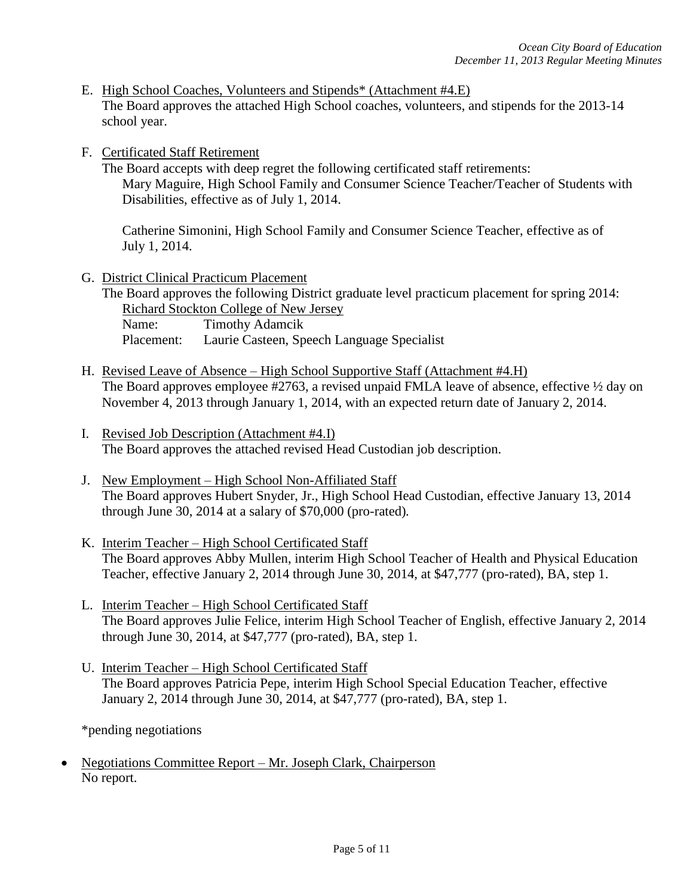- E. High School Coaches, Volunteers and Stipends\* (Attachment #4.E) The Board approves the attached High School coaches, volunteers, and stipends for the 2013-14 school year.
- F. Certificated Staff Retirement

The Board accepts with deep regret the following certificated staff retirements: Mary Maguire, High School Family and Consumer Science Teacher/Teacher of Students with Disabilities, effective as of July 1, 2014.

Catherine Simonini, High School Family and Consumer Science Teacher, effective as of July 1, 2014.

- G. District Clinical Practicum Placement The Board approves the following District graduate level practicum placement for spring 2014: Richard Stockton College of New Jersey Name: Timothy Adamcik Placement: Laurie Casteen, Speech Language Specialist
- H. Revised Leave of Absence High School Supportive Staff (Attachment #4.H) The Board approves employee #2763, a revised unpaid FMLA leave of absence, effective  $\frac{1}{2}$  day on November 4, 2013 through January 1, 2014, with an expected return date of January 2, 2014.
- I. Revised Job Description (Attachment #4.I) The Board approves the attached revised Head Custodian job description.
- J. New Employment High School Non-Affiliated Staff The Board approves Hubert Snyder, Jr., High School Head Custodian, effective January 13, 2014 through June 30, 2014 at a salary of \$70,000 (pro-rated)*.*
- K. Interim Teacher High School Certificated Staff The Board approves Abby Mullen, interim High School Teacher of Health and Physical Education Teacher, effective January 2, 2014 through June 30, 2014, at \$47,777 (pro-rated), BA, step 1.
- L. Interim Teacher High School Certificated Staff The Board approves Julie Felice, interim High School Teacher of English, effective January 2, 2014 through June 30, 2014, at \$47,777 (pro-rated), BA, step 1.
- U. Interim Teacher High School Certificated Staff The Board approves Patricia Pepe, interim High School Special Education Teacher, effective January 2, 2014 through June 30, 2014, at \$47,777 (pro-rated), BA, step 1.

\*pending negotiations

 Negotiations Committee Report – Mr. Joseph Clark, Chairperson No report.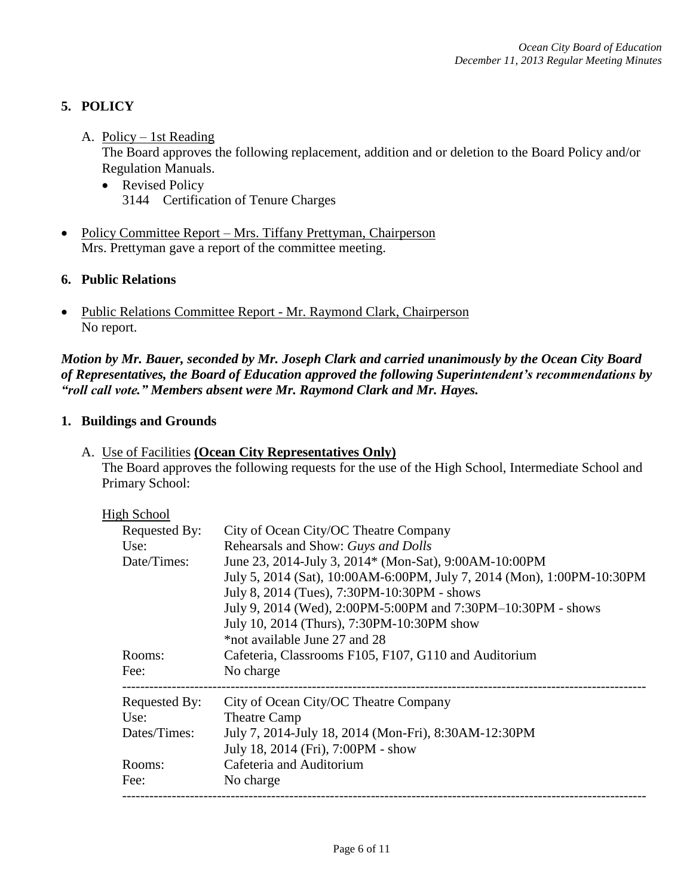# **5. POLICY**

### A. Policy – 1st Reading

The Board approves the following replacement, addition and or deletion to the Board Policy and/or Regulation Manuals.

- Revised Policy 3144 Certification of Tenure Charges
- Policy Committee Report Mrs. Tiffany Prettyman, Chairperson Mrs. Prettyman gave a report of the committee meeting.

# **6. Public Relations**

• Public Relations Committee Report - Mr. Raymond Clark, Chairperson No report.

*Motion by Mr. Bauer, seconded by Mr. Joseph Clark and carried unanimously by the Ocean City Board of Representatives, the Board of Education approved the following Superintendent's recommendations by "roll call vote." Members absent were Mr. Raymond Clark and Mr. Hayes.*

### **1. Buildings and Grounds**

| A. Use of Facilities (Ocean City Representatives Only)                                            |
|---------------------------------------------------------------------------------------------------|
| The Board approves the following requests for the use of the High School, Intermediate School and |
| Primary School:                                                                                   |

| <b>High School</b> |                                                                        |
|--------------------|------------------------------------------------------------------------|
| Requested By:      | City of Ocean City/OC Theatre Company                                  |
| Use:               | Rehearsals and Show: Guys and Dolls                                    |
| Date/Times:        | June 23, 2014-July 3, 2014* (Mon-Sat), 9:00AM-10:00PM                  |
|                    | July 5, 2014 (Sat), 10:00AM-6:00PM, July 7, 2014 (Mon), 1:00PM-10:30PM |
|                    | July 8, 2014 (Tues), 7:30PM-10:30PM - shows                            |
|                    | July 9, 2014 (Wed), 2:00PM-5:00PM and 7:30PM-10:30PM - shows           |
|                    | July 10, 2014 (Thurs), 7:30PM-10:30PM show                             |
|                    | *not available June 27 and 28                                          |
| Rooms:             | Cafeteria, Classrooms F105, F107, G110 and Auditorium                  |
| Fee:               | No charge                                                              |
| Requested By:      | City of Ocean City/OC Theatre Company                                  |
| Use:               | <b>Theatre Camp</b>                                                    |
| Dates/Times:       | July 7, 2014-July 18, 2014 (Mon-Fri), 8:30AM-12:30PM                   |
|                    | July 18, 2014 (Fri), 7:00PM - show                                     |
| Rooms:             | Cafeteria and Auditorium                                               |
| Fee:               | No charge                                                              |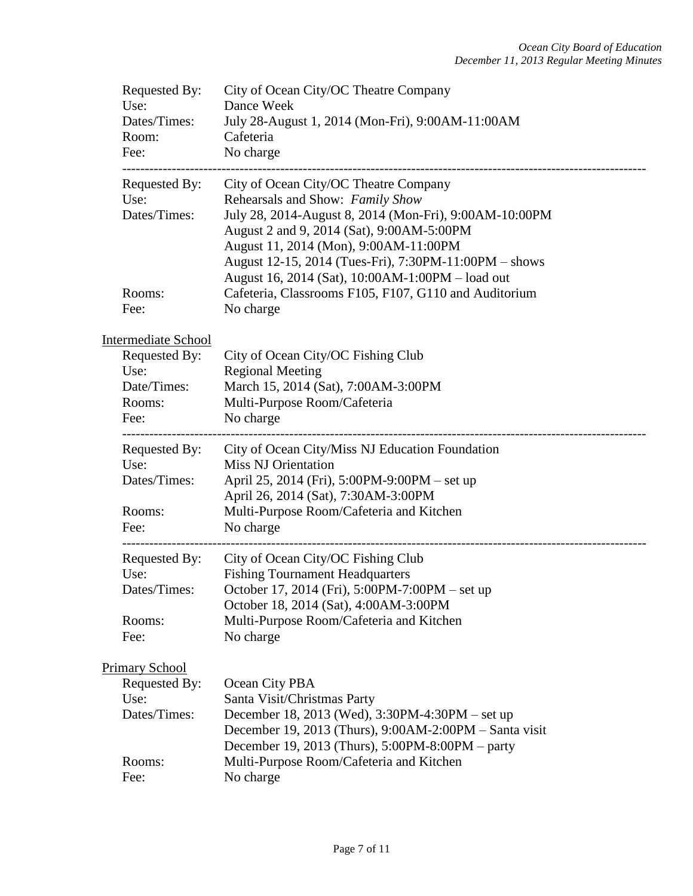| Requested By:<br>Use:<br>Dates/Times:<br>Room:<br>Fee:                                                         | City of Ocean City/OC Theatre Company<br>Dance Week<br>July 28-August 1, 2014 (Mon-Fri), 9:00AM-11:00AM<br>Cafeteria<br>No charge                                                                                                                                                                                                      |
|----------------------------------------------------------------------------------------------------------------|----------------------------------------------------------------------------------------------------------------------------------------------------------------------------------------------------------------------------------------------------------------------------------------------------------------------------------------|
| Requested By:<br>Use:<br>Dates/Times:                                                                          | City of Ocean City/OC Theatre Company<br>Rehearsals and Show: Family Show<br>July 28, 2014-August 8, 2014 (Mon-Fri), 9:00AM-10:00PM<br>August 2 and 9, 2014 (Sat), 9:00AM-5:00PM<br>August 11, 2014 (Mon), 9:00AM-11:00PM<br>August 12-15, 2014 (Tues-Fri), 7:30PM-11:00PM – shows<br>August 16, 2014 (Sat), 10:00AM-1:00PM - load out |
| Rooms:<br>Fee:                                                                                                 | Cafeteria, Classrooms F105, F107, G110 and Auditorium<br>No charge                                                                                                                                                                                                                                                                     |
| <b>Intermediate School</b><br>Requested By:<br>Use:<br>Date/Times:<br>Rooms:<br>Fee:<br>---------------------- | City of Ocean City/OC Fishing Club<br><b>Regional Meeting</b><br>March 15, 2014 (Sat), 7:00AM-3:00PM<br>Multi-Purpose Room/Cafeteria<br>No charge                                                                                                                                                                                      |
| Requested By:<br>Use:<br>Dates/Times:<br>Rooms:<br>Fee:                                                        | City of Ocean City/Miss NJ Education Foundation<br><b>Miss NJ Orientation</b><br>April 25, 2014 (Fri), 5:00PM-9:00PM - set up<br>April 26, 2014 (Sat), 7:30AM-3:00PM<br>Multi-Purpose Room/Cafeteria and Kitchen<br>No charge                                                                                                          |
| Requested By:<br>Use:<br>Dates/Times:<br>Rooms:<br>Fee:                                                        | City of Ocean City/OC Fishing Club<br><b>Fishing Tournament Headquarters</b><br>October 17, 2014 (Fri), 5:00PM-7:00PM - set up<br>October 18, 2014 (Sat), 4:00AM-3:00PM<br>Multi-Purpose Room/Cafeteria and Kitchen<br>No charge                                                                                                       |
| <b>Primary School</b><br>Requested By:<br>Use:<br>Dates/Times:<br>Rooms:                                       | Ocean City PBA<br>Santa Visit/Christmas Party<br>December 18, 2013 (Wed), 3:30PM-4:30PM – set up<br>December 19, 2013 (Thurs), $9:00AM-2:00PM - Santa visit$<br>December 19, 2013 (Thurs), 5:00PM-8:00PM - party<br>Multi-Purpose Room/Cafeteria and Kitchen                                                                           |
| Fee:                                                                                                           | No charge                                                                                                                                                                                                                                                                                                                              |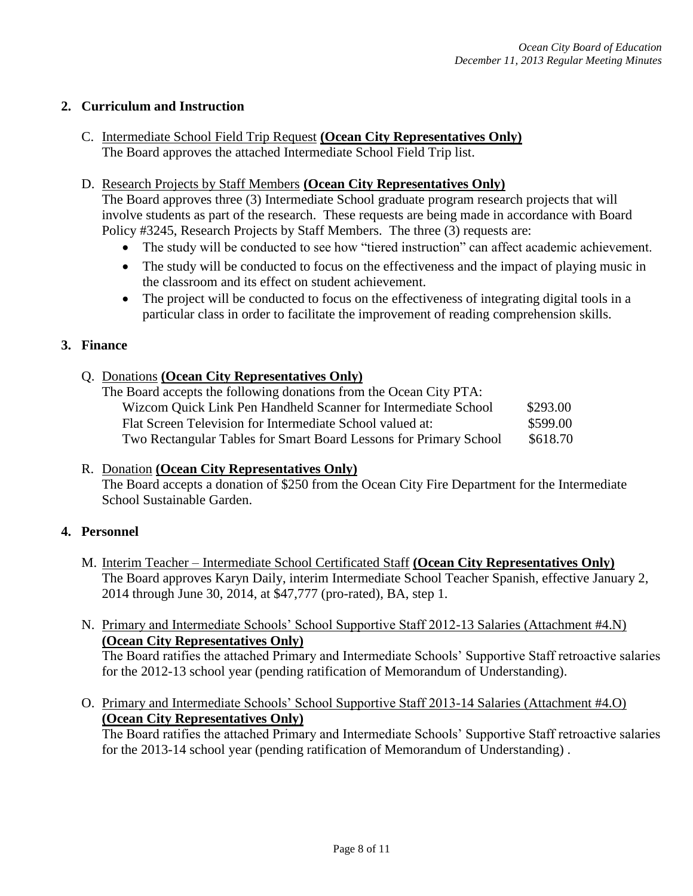# **2. Curriculum and Instruction**

C. Intermediate School Field Trip Request **(Ocean City Representatives Only)** The Board approves the attached Intermediate School Field Trip list.

# D. Research Projects by Staff Members **(Ocean City Representatives Only)**

The Board approves three (3) Intermediate School graduate program research projects that will involve students as part of the research. These requests are being made in accordance with Board Policy #3245, Research Projects by Staff Members. The three (3) requests are:

- The study will be conducted to see how "tiered instruction" can affect academic achievement.
- The study will be conducted to focus on the effectiveness and the impact of playing music in the classroom and its effect on student achievement.
- The project will be conducted to focus on the effectiveness of integrating digital tools in a particular class in order to facilitate the improvement of reading comprehension skills.

### **3. Finance**

# Q. Donations **(Ocean City Representatives Only)**

| The Board accepts the following donations from the Ocean City PTA: |          |
|--------------------------------------------------------------------|----------|
| Wizcom Quick Link Pen Handheld Scanner for Intermediate School     | \$293.00 |
| Flat Screen Television for Intermediate School valued at:          | \$599.00 |
| Two Rectangular Tables for Smart Board Lessons for Primary School  | \$618.70 |

#### R. Donation **(Ocean City Representatives Only)** The Board accepts a donation of \$250 from the Ocean City Fire Department for the Intermediate School Sustainable Garden.

# **4. Personnel**

- M. Interim Teacher Intermediate School Certificated Staff **(Ocean City Representatives Only)** The Board approves Karyn Daily, interim Intermediate School Teacher Spanish, effective January 2, 2014 through June 30, 2014, at \$47,777 (pro-rated), BA, step 1.
- N. Primary and Intermediate Schools' School Supportive Staff 2012-13 Salaries (Attachment #4.N) **(Ocean City Representatives Only)**

The Board ratifies the attached Primary and Intermediate Schools' Supportive Staff retroactive salaries for the 2012-13 school year (pending ratification of Memorandum of Understanding).

O. Primary and Intermediate Schools' School Supportive Staff 2013-14 Salaries (Attachment #4.O) **(Ocean City Representatives Only)**

The Board ratifies the attached Primary and Intermediate Schools' Supportive Staff retroactive salaries for the 2013-14 school year (pending ratification of Memorandum of Understanding) .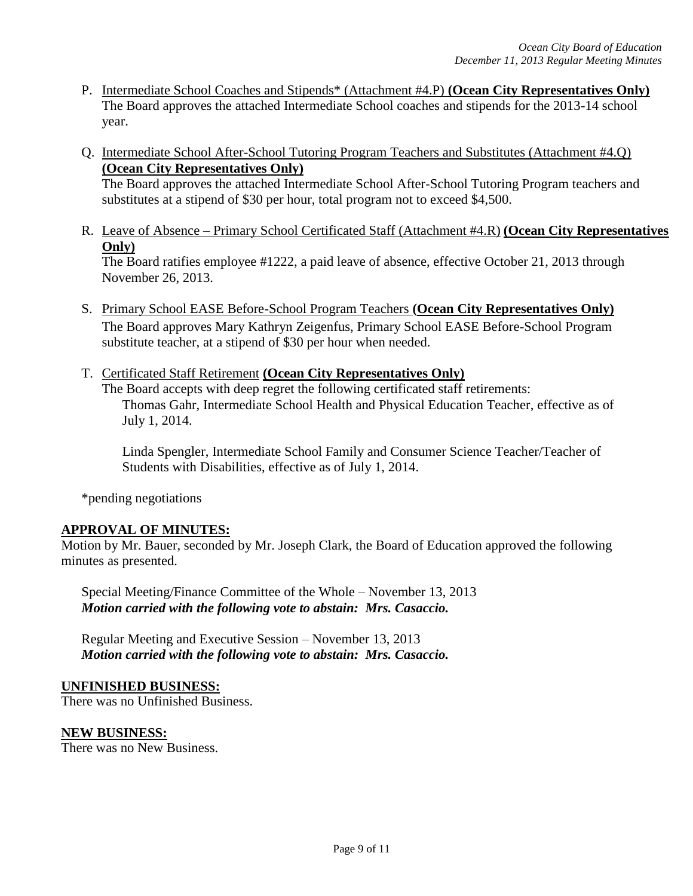- P. Intermediate School Coaches and Stipends\* (Attachment #4.P) **(Ocean City Representatives Only)** The Board approves the attached Intermediate School coaches and stipends for the 2013-14 school year.
- Q. Intermediate School After-School Tutoring Program Teachers and Substitutes (Attachment #4.Q) **(Ocean City Representatives Only)**

The Board approves the attached Intermediate School After-School Tutoring Program teachers and substitutes at a stipend of \$30 per hour, total program not to exceed \$4,500.

R. Leave of Absence – Primary School Certificated Staff (Attachment #4.R) **(Ocean City Representatives Only)**

The Board ratifies employee #1222, a paid leave of absence, effective October 21, 2013 through November 26, 2013.

- S. Primary School EASE Before-School Program Teachers **(Ocean City Representatives Only)** The Board approves Mary Kathryn Zeigenfus, Primary School EASE Before-School Program substitute teacher, at a stipend of \$30 per hour when needed.
- T. Certificated Staff Retirement **(Ocean City Representatives Only)**

The Board accepts with deep regret the following certificated staff retirements: Thomas Gahr, Intermediate School Health and Physical Education Teacher, effective as of July 1, 2014.

Linda Spengler, Intermediate School Family and Consumer Science Teacher/Teacher of Students with Disabilities, effective as of July 1, 2014.

\*pending negotiations

#### **APPROVAL OF MINUTES:**

Motion by Mr. Bauer, seconded by Mr. Joseph Clark, the Board of Education approved the following minutes as presented.

Special Meeting/Finance Committee of the Whole – November 13, 2013 *Motion carried with the following vote to abstain: Mrs. Casaccio.*

Regular Meeting and Executive Session – November 13, 2013 *Motion carried with the following vote to abstain: Mrs. Casaccio.*

#### **UNFINISHED BUSINESS:**

There was no Unfinished Business.

#### **NEW BUSINESS:**

There was no New Business.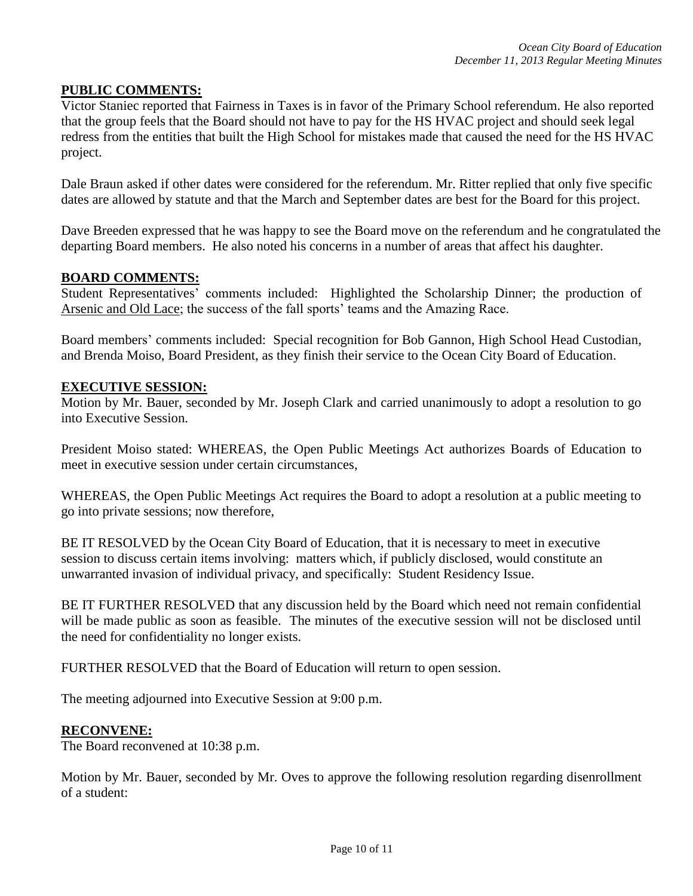#### **PUBLIC COMMENTS:**

Victor Staniec reported that Fairness in Taxes is in favor of the Primary School referendum. He also reported that the group feels that the Board should not have to pay for the HS HVAC project and should seek legal redress from the entities that built the High School for mistakes made that caused the need for the HS HVAC project.

Dale Braun asked if other dates were considered for the referendum. Mr. Ritter replied that only five specific dates are allowed by statute and that the March and September dates are best for the Board for this project.

Dave Breeden expressed that he was happy to see the Board move on the referendum and he congratulated the departing Board members. He also noted his concerns in a number of areas that affect his daughter.

#### **BOARD COMMENTS:**

Student Representatives' comments included: Highlighted the Scholarship Dinner; the production of Arsenic and Old Lace; the success of the fall sports' teams and the Amazing Race.

Board members' comments included: Special recognition for Bob Gannon, High School Head Custodian, and Brenda Moiso, Board President, as they finish their service to the Ocean City Board of Education.

#### **EXECUTIVE SESSION:**

Motion by Mr. Bauer, seconded by Mr. Joseph Clark and carried unanimously to adopt a resolution to go into Executive Session.

President Moiso stated: WHEREAS, the Open Public Meetings Act authorizes Boards of Education to meet in executive session under certain circumstances,

WHEREAS, the Open Public Meetings Act requires the Board to adopt a resolution at a public meeting to go into private sessions; now therefore,

BE IT RESOLVED by the Ocean City Board of Education, that it is necessary to meet in executive session to discuss certain items involving: matters which, if publicly disclosed, would constitute an unwarranted invasion of individual privacy, and specifically: Student Residency Issue.

BE IT FURTHER RESOLVED that any discussion held by the Board which need not remain confidential will be made public as soon as feasible. The minutes of the executive session will not be disclosed until the need for confidentiality no longer exists.

FURTHER RESOLVED that the Board of Education will return to open session.

The meeting adjourned into Executive Session at 9:00 p.m.

#### **RECONVENE:**

The Board reconvened at 10:38 p.m.

Motion by Mr. Bauer, seconded by Mr. Oves to approve the following resolution regarding disenrollment of a student: